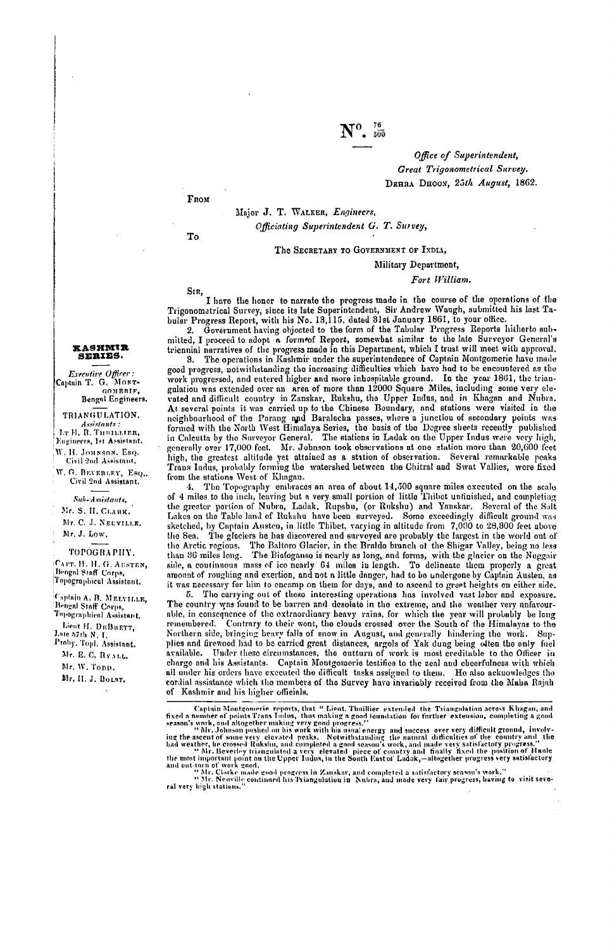### Office of Superintendent, **Great Trigonometrical Survey.** DEHRA DHOON, 25th August, 1862.

FROM

To

SIR,

Major J. T. WALKER, Engineers,

Officiating Superintendent G. T. Survey,

The SECRETARY TO GOVERNMENT OF INDIA,

Military Department,

### Fort William.

I have the honor to narrate the progress made in the course of the operations of the Trigonomatrical Survey, since its late Superintendent, Sir Andrew Waugh, submitted his last Tabular Progress Report, with his No. 13,115, dated 31st January 1861, to your office.

Government having objected to the form of the Tabular Progress Reports hitherto submitted, I proceed to adopt a form of Report, somewhat similar to the late Surveyor General's triennial narratives of the progress made in this Department, which I trust will meet with approval.

The operations in Kashmir under the superintendence of Captain Montgomerie have made 8. ord progress, notwithstanding the increasing difficulties which have had to be encountered as the work progress, notwithstanding the increasing difficulties which have had to be encountered as the work progressed, and ente work progressed, and entered magnet and more than 12000 Square Miles, including some very cle-<br>vated and difficult country in Zanskar, Rukshu, the Upper Indus, and in Khagan and Nubra, At several points it was carried up to the Chinese Boundary, and stations were visited in the response to the Parang and Baralacha passes, where a junction of secondary points was<br>formed with the North West Himalaya Series, the basis of the Degree sheets recently published<br>in Calcutta by the Surveyor General. The s generally over 17,000 feet. Mr. Johnson took observations at one station more than 20,600 feet high, the greatest altitude yet attained as a station of observation. Several remarkable peaks<br>Trans Indus, probably forming the watershed between the Chitral and Swat Vallies, were fixed from the stations West of Khagan.

4. The Topography embraces an area of about 14,500 square miles exceuted on the scale of 4 miles to the inch, leaving but a very small portion of little Thibet unfinished, and completing the greater portion of Nubra, Ladak, Rupsbu, (or Rukshu) and Yanskar. Several of the Salt Lakes on the Table land of Rukshu have been surveyed. Some exceedingly difficult ground was sketched, by Captain Austen, in little Thibet, varying in altitude from 7,000 to 28,300 feet above<br>the Sen. The glaciers he has discovered and surveyed are probably the largest in the world out of the Arctic regions. The Baltoro Glacier, in the Braldo branch of the Shigar Valley, being no less than 36 miles long. The Bialogause is nearly as long, and forms, with the glacier on the Nuggair<br>side, a continuous mass of ico nearly 64 miles in length. To delineate them properly a great<br>amount of roughing and exertion, it was necessary for him to encamp on them for days, and to ascend to great heights on either side.

5. The carrying out of these interesting operations has involved vast labor and exposure. The country was found to be barren and desolate in the extreme, and the weather very unfavourable, in consequence of the extraordinary heavy rains, for which the year will probably be long remembered. Contrary to their wont, the clouds crossed over the South of the Himalayas to the Northern side, bringing heavy falls of snow in August, and generally hindering the work. Sup-Norman study, uning our and the carried great distances, any old of Yak dung being other the only fuel<br>available. Under these circumstances, the outturn of work is most creditable to the Officer in<br>arcailable. Under these all under his orders have executed the difficult tasks assigned to them. He also acknowledges the cordial assistance which the members of the Survey have invariably received from the Muha Rajah of Kashmir and his higher officials.

Captain Montgomerie reports, that " Lieut. Thuillier extended the Triangulation across Khagan, and<br>
fixed a number of points Trans Indus, thus making a good foundation for further extension, completing a good<br>
season's wor

# **KASHMIR**<br>SERIES.

Executive Officer: Captuin T. G. MONT-Bengal Engineers.

TRIANGULATION. Assistants :<br>
1. R. R. THULLLER,<br>
Eugineers, 1st Assistant. W. H. JOHNSON, Esq. Civil 2nd Assistant.

W. G. BEVERLEY, Esq., Civil 2nd Assistant.

Sub-Assistants. Mr. S. II. CLARK.

Mr. C. J. NEUVILLE. Mr. J. Low.

TOPOGRAPHY. CAPT. H. H. G. AUSTEN. Bengal Staff Corps, Topographical Assistant.

Captain A. B. MELVILLE, Bengal Staff Corps, Toporate Lieut H. DEBRETT, Late 57th N. L. Proby, Topl. Assistant. Mr. E. C. RYALL Mr. W. Tonp. Mr. H. J. BOLST.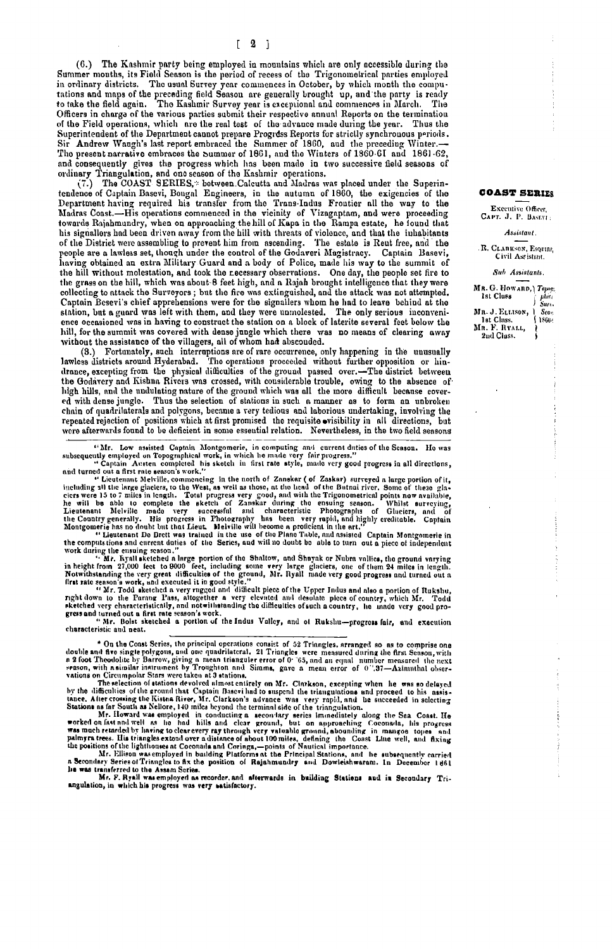(6.) The Kashmir party being employed in mountains which are only accessible during the Summer mouths, its Field Season is the period of recess of the Trigonometrical parties employed in ordinary districts. The usual Survey year commences in October, by which month the computations and maps of the preceding field Season are generally brought up, and the party is ready to take the field again. The Kashmir Survey year is exceptional and commences in March. The Officers in charge of the various parties submit their respective annual Reports on the terminatiou of the Field operations, which are the real test of the advance made during the year. Thus the Superintendent of the Department cannot prepare Progress Reports for strictly synchronous periods.<br>Sir Andrew Waugh's last report embraced the Summer of 1860, aud the preceding Winter. The present narrative embraces the Summer of 1861, and the Winters of 1860-61 and 1861-62, and consequently gives the progress which has been made in two successive field seasons of ordinary Triangulation, and one season of the Kashmir operations.

(7.) The COAST SERIES,\* between Calcutta and Madras was placed under the Superintendence of Captain Basevi, Bengal Engineers, in the autumn of 1860, the exigencies of the Department having required his transfer from the Trans-Indus Frontier all the way to the Madras Coast.-His operations commenced in the vicinity of Vizagaptam, and were proceeding towards Rajahmundry, when on approaching the hill of Kapa in the Rampa estate, he found that bis signallers had been driven away from the hill with threats of violence, and that the inhabitants of the District were assembling to prevent him from ascending. The estate is Reut free, and the people are a lawless set, though under the control of the Godaveri Magistracy. Captain Basevi, having obtained an extra Military Guard and a body of Police, made his way to the summit of the hill without molestation, and took the recessary observations. One day, the people set fire to the grass on the hill, which was about 8 feet high, and a Rajah brought intelligence that they were collecting to attack the Surveyors; but the fire was extinguished, and the attack was not attempted. Captain Besevi's chief apprehensions were for the signalizer whom he had to leave behind at the station, but a guard was left with them, and they were unmolested. The only serious inconvenience occasioned was in having to construct the station on a block of laterite several feet below the hill, for the summit was covered with dense jungle which there was no means of clearing away without the assistance of the villagers, all of whom had abscouded.

(3.) Fortunately, such interruptions are of rare occurrence, only happening in the unusually<br>lawless districts around Hyderabad. The operations proceeded without further opposition or hindinners unsures any the physical difficulties of the ground passed over.-The district between<br>the Godavery and Kishna Rivers was crossed, with considerable trouble, owing to the absence of high hills, and the undulating nature of the ground which was all the more difficult because covered with dense jungle. Thus the selection of stations in such a manner as to form an unbroken chain of quadrilaterals and polygons, became a very tedious and laborious undertaking, involving the repeated rejection of positions which at first promised the requisite ovisibility in all directions, but were afterwards found to be deficient in some essential relation. Nevertheless, in the two field seasons

The determined because of the setted of Zanskar during and current and the Season. Ho was subsequelly employed on Topographical vork, in which he made very fair programs. We cannot a first processor work."<br>
"Captain Austen

the computations and current daties of the Series, and will no doubt bo able to turn out a piece of independent<br>work during the ensuing seson."<br>with results and shape portion of the Shaltow, and Shayak or Nubra vallies, th

characteristic and neat.

\* On the Coast Series, the principal operations consist of 52 Triangles. arranged so as to comprise one double and five single polygons, and one quadrilateral. 21 Triangles were measured during the first Senson, with a st

vations on Circumpolar Stars were taken at 3 stations. The and circumstrate of the differenties of the research and stations. The difference of the counter of the difference of the recording to Marco the counter of the dif

### **COAST SERIES**

Executive Officer, CAPT. J. P. BASEVI:

**Assistant** 

R. CLARKSON, Esquine,<br>Civil Assistant.

Sub Assistants.

|                              | MR. G. HOWARD, YOPOT.               |  |  |  |  |  |  |
|------------------------------|-------------------------------------|--|--|--|--|--|--|
| Ist Cluss<br>Mn. J. ELLISON, | phira<br>Surva<br>Sea <sub>st</sub> |  |  |  |  |  |  |
| 1st Class.<br>Mr. F. Ryalt,  | 1860-                               |  |  |  |  |  |  |
| 2nd Class.                   |                                     |  |  |  |  |  |  |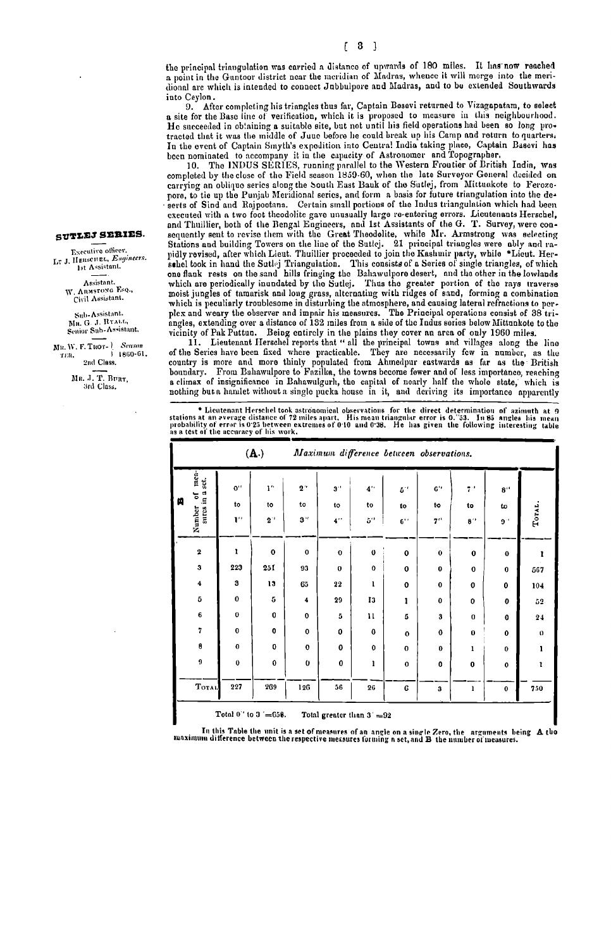the principal triangulation was carried a distance of upwards of 180 miles. It has now reached a point in the Guntoor district near the meridian of Madras, whence it will merge into the meridional are which is intended to connect Jubbulpore and Madras, and to be extended Southwards into Ceylon.

After completing his triangles thus far, Captain Besevi returned to Vizagapatam, to select 9. a site for the Base line of verification, which it is proposed to measure in this neighbourhood.<br>He succeeded in obtaining a suitable site, but not until his field operations had been so long protracted that it was the middle of June before he could break up his Camp and return to quarters. The the event of Captain Singth's expedition into Central India taking place, Captain Basevi has been nominated to accompany it in the expactly of Astronomer and Topographer.

not a measurement in the INDUS SERIES, running parallel to the Western Froutier of British India, was<br>completed by the close of the Field season 1859-60, when the late Surveyor General decided on carrying an oblique series along the South East Bauk of the Sutlej, from Mittuakote to Ferozopore, to tie up the Punjab Meridional series, and form a basis for future triangulation into the deserts of Sind and Rajpootana. Certain small portions of the Indus triangulation which had been executed with a two foot theodolite gave unusually large re-entering errors. Lieutenants Herschel, and Thuillier, both of the Bengal Engineers, and 1st Assistants of the G. T. Survey, were conexquently sent to revise them with the Great Theodolite, while Mr. Armstrong was selecting<br>Stations and building Towers on the line of the Suttej. 21 principal triangles were ably and rapidly revised, after which Lieut. Thuillier proceeded to join the Kashmir party, while "Lieut. Her-<br>select to join the Kashmir party, while "Lieut. Her-<br>select took in hand the Sutlej Triangulation. This consists of a Seri one flank rests on the sand hills fringing the Bahawulpore desert, and the other in the lowlands which are periodically inundated by the Sutlej. Thus the greater portion of the rays traverse moist jungles of tamarisk and l which is peculiarly troublesome in disturbing the atmosphere, and causing lateral refractions to perplex and weary the observer and impair his measures. The Principal operations consist of 38 triangles, extending over a distance of 132 miles from a side of the Indus series below Mittunkote to the

vicinity of Pak Puttua. Being entirely in the plains they cover an area of only 1960 miles.<br>11. Lieutenant Herschel reports that "all the principal towns and villages along the line<br>of the Series have been fixed where prac country is more and more thinly populated from Ahmedpur eastwards as far as the British boundary. From Bahawulpore to Fazilka, the towns become fewer and of less importance, reaching a climax of insignificance in Bahawulgurh, the capital of noarly half the whole state, which is nothing but a hamlet without a single pucka house in it, and deriving its importance apparently

\* Lieutenant Herschel took astronomical observations for the direct determination of azimuth at 9 probability of everage distance of 72 miles apart. His mean triangular error is 0.'33. In 85 angles his mean probability of

|                                                   |                                 | (A.)                        |              | Maximum difference between observations. |          |                    |                    |                                    |                    |             |              |
|---------------------------------------------------|---------------------------------|-----------------------------|--------------|------------------------------------------|----------|--------------------|--------------------|------------------------------------|--------------------|-------------|--------------|
|                                                   | merel<br>set.<br>$\blacksquare$ | $0$ <sup>11</sup>           | ī.           | $2$ .                                    | $3$ .    | $4$ <sup>1</sup>   | $5^{\prime\prime}$ | $\mathbf{G}^{\prime\,\prime}$      | $7^{\circ}$        | 8''         |              |
| 曽                                                 | ৳<br>sures in                   | to                          | to           | to                                       | to       | to                 | to                 | to                                 | to                 | to          |              |
|                                                   | Number                          | $\mathbf{I}^{\prime\prime}$ | $2^{\circ}$  | $3$ $"$                                  | $4$ "    | $5^{\prime\prime}$ | $6$ <sup>*</sup>   | $7$ <sup><math>\prime</math></sup> | $8^{\prime\prime}$ | $9^{\circ}$ | Тотль.       |
|                                                   | $\boldsymbol{2}$                | 1                           | $\mathbf{o}$ | $\bf{0}$                                 | $\bf{0}$ | $\bf{0}$           | 0                  | $\mathbf{o}$                       | $\bf{0}$           | $\bf{0}$    | 1            |
|                                                   | $\overline{\mathbf{3}}$         | 223                         | 251          | 93                                       | $\Omega$ | $\mathbf{o}$       | $\mathbf 0$        | $\bf{0}$                           | $\mathbf 0$        | $\bf o$     | 567          |
|                                                   | $\ddot{\phantom{0}}$            | 3                           | 13           | 65                                       | 22       | 1                  | 0                  | $\mathbf 0$                        | 0                  | 0           | 104          |
|                                                   | 5                               | $\bf{0}$                    | 5            | 4                                        | 29       | I3                 | 1                  | $\mathbf 0$                        | 0                  | 0           | 52           |
|                                                   | 6                               | 0                           | 0            | 0                                        | 5        | $\mathbf{11}$      | 5                  | 3                                  | $\bf{0}$           | 0           | 24           |
|                                                   | 7                               | $\bf{0}$                    | 0            | $\mathbf 0$                              | 0        | $\bf{0}$           | $\mathbf{o}$       | $\mathbf 0$                        | $\pmb{0}$          | 0           | $\mathbf{0}$ |
|                                                   | 8                               | $\bf{o}$                    | 0            | $\mathbf 0$                              | 0        | $\mathbf 0$        | $\bf{0}$           | $\pmb{0}$                          | ı                  | 0           | 1            |
|                                                   | $\boldsymbol{9}$                | $\bf{0}$                    | $\bf{0}$     | $\mathbf 0$                              | $\bf{0}$ | ı                  | $\bf{0}$           | 0                                  | 0                  | $\mathbf 0$ | ı            |
|                                                   | <b>Тотль</b>                    | 227                         | 269          | 126                                      | 56       | 26                 | G                  | 3                                  | 1                  | 0           | 750          |
| Total 0" to 3 '=658.<br>Total greater than 3' =92 |                                 |                             |              |                                          |          |                    |                    |                                    |                    |             |              |

In this Table the unit is a set of measures of an angle on a single Zero, the arguments being A tho<br>maximum difference between the respective measures forming a set, and B the mumber of measures.

## SUTLEJ SERIES.

Executive officer. LT J. HERSCHEL, Engineers. 1st Assistant. Assistant. Assistant.<br>W. Anmstong Esq.,<br>Civil Assistant.

Sub-Assistant.<br>MR. G. J. RYALL,<br>Senior Sub-Assistant.

Mu. W. F. Tuor- 1 Season  $1860 - 61$ тка. 2nd Class.

MR. J. T. BURT, 3rd Class.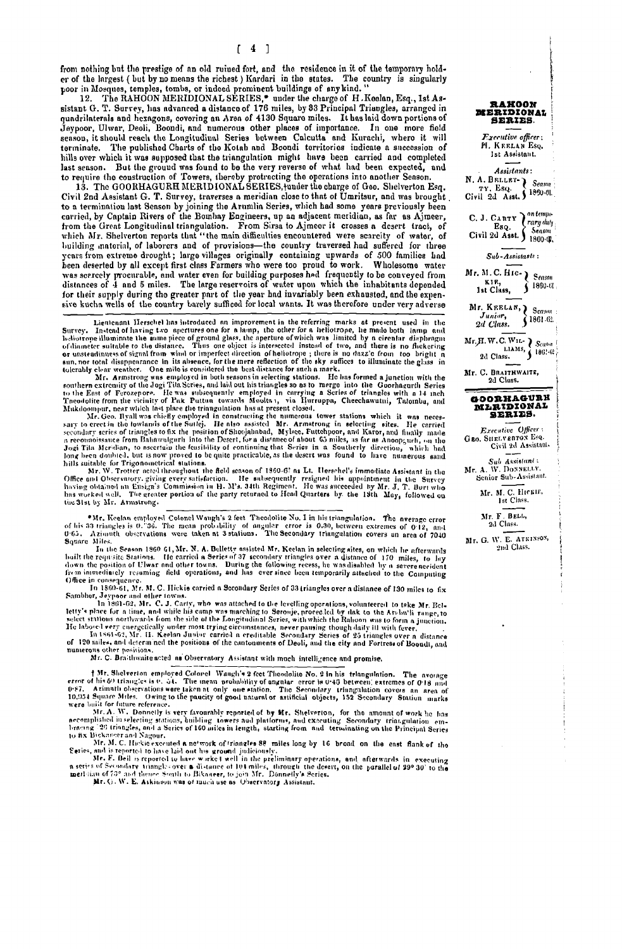from nothing but the prestige of an old ruined fort, and the residence in it of the temporary holder of the largest (but by no means the richest) Kardari in the states. The country is singularly poor in Mosques, temples, tombs, or indeed prominent buildings of any kind."<br>12. The RAHOON MERIDIONAL SERIES,<sup>\*</sup> under the charge of H. Keelan, Esq., 1st As-

sistant G. T. Survey, has advanced a distance of 176 miles, by 33 Principal Triangles, arranged in quadrilaterals and hexagons, covering an Area of 4130 Square miles. It has laid down portions of Jaypoor, Ulwar, Decli, Boondi, and numerous other places of importance. In one more field<br>season, it should reach the Longitudinal Series between Calcutta and Kurachi, where it will terminate. The published Charts of the Kotab and Boondi territories indicate a succession of<br>hills over which it was supposed that the triangulation might have been carried and completed last senson. But the ground was found to be the very reverse of what had been expected, and to require the construction of Towers, thereby protracting the operations into another Season.<br>13. The GOORHAGURH MERIDIONAL SERIES, tunder the charge of Geo. Shelverton Esq.

Civil 2nd Assistant G. T. Survey, traverses a meridian close to that of Umritsur, and was brought to a termination last Senson by joining the Arumlia Series, which had some years previously been carried, by Captain Rivers of the Bombay Engineers, up an adjacent meridian, as far as Ajneer, from the Great Longitudinal triangulation. From Sirsa to Ajmeer it crosses a desert tract, of which Mr. Shelverton reports that building material, of laborers and of provisions-the country traversed had suffered for three venture, on extreme drought; large villages originally containing upwards of 500 families had<br>been deserted by all except first class Farmers who were too proud to work. Wholesome water source was serietly procurable, and water even for building purposes hed frequently to be conveyed from<br>distances of 4 and 5 miles. The large reservoirs of water upon which the inhabitants depended for their supply during the greater part of the year had invariably been exhausted, and the expensive kuchn wells of the country barely sufficed for local wants. It was therefore under very adverse

sive kitch wells of the country barrely sufficed for local winks. It was increased and reproduction<br>Survey. Instead of large two apertures one for a large, the other for a help and both large the section<br>Survey. Instead of

the 31st by Mr. Armstrong.

\*Mr. Keelan employed Colonel Waugh's 2 feet Theodolite No. 1 in his triangulation. The average error of his 33 triangles is 0.736. The mean probability of angular error is 0.30, between extremes of 0.12, and 0.63. Azimuth Square Miles.

Square Miles.<br>
In the Season 1960 61, Mr. N. A. Belletty assisted Mr. Keelan in selecting sites, on which he afterwards<br>
built the requisite Stations. He carried a Series of 37 secondary triangles over a distance of 170 mi Office in consequence.

Office in consequence.<br>
In 1860-61, Mr. M. C. Hickie carried a Secondary Series of 33 triangles over a distance of 130 miles to fix<br>
Sambher, Jeypoor and other towns.<br>
In 1860-62, Mr. C. J. Carty, who was attached to the

Mr. C. Braithwaite acted as Observatory Assistant with much intelligence and promise.

I Mr. Shelverion employed Colorel Waugh's 2 feet Theodolite No. 2 in his triangulation. The avorage error of his 50 triangles is 0, 34. The mean probability of angular error is 0.45 between extremes of 0.18 and 0.67. Azimu

were built for future reference.<br>
Mr. Shelverton, for the monnt of work he has<br>
Mr. Shelverton, for the moment of work he has<br>
necemplished in selecting stations, building towers and plutforms, and executing Secondary tri

# RAHOON<br>MERIDIONAL **SERIES** Executive officer: H. KEELAN Esq. Ist Assistant. Assistants: N. A. BELLET \ Season ... вним<br>тү. Eso. Civil 2d Asst. ) 1860-01. C. J. CARTY  $\int_{\text{Eq}}^{on \text{ temp.}}$ Esq. Yaryuwg<br>Civil 2d Asst. 1860.0. Sub-Assistants: Mr. M. C. HIC-  $\sum$  Season KIR,  $\sum 1860 - 61$ 1st Class. Mr. KEELAN, Season Junior,  $\tilde{\mathbf{S}}$  1861.62. 2d Class. Mr. H. W. C. WIL-<br>2d Class.  $\left\{\n\begin{array}{c}\nSca^{6m} \\
114\text{Ms}\n\end{array}\n\right\}$ Mr. C. BRAITHWAITE, 2d Class. GOORHAGURE<br>MLRIDIONAL SERIES. Executive Officer: GEO. SHELVERTON Esq. Civil 2d Assistant. Sub Assistant:<br>Mr. A. W. Donnetty Senior Sub-Assistant. Mr. M. C. HICKIE, Ist Class. Mr. F. BELL, Mr. G. W. E. ATKINSON, 2nd Class.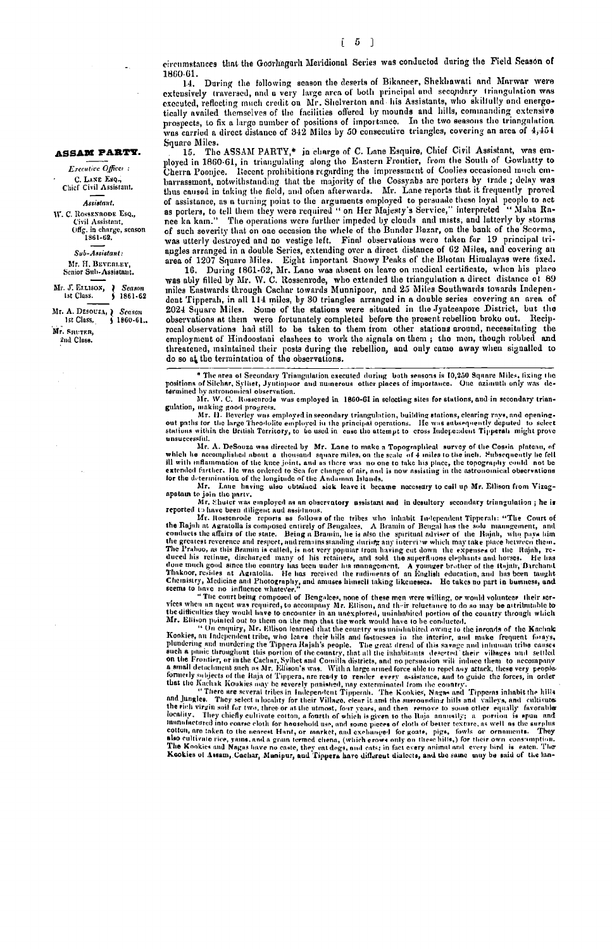1860-61. During the following scason the deserts of Bikaneer, Shekhawati and Marwar were  $1.4.$ extensively traversed, and a very large area of both principal and secondary triangulation was executed, reflecting much credit on Mr. Shelverton and his Assistants, who skillully and energotically availed themselves of the facilities offered by mounds and hills, commanding extensive prospects, to fix a large number of positions of importance. In the two seasons the triangulation was carried a direct distance of 342 Miles by 50 consecutive triangles, covering an area of 4,454 Square Miles.

15. The ASSAM PARTY,\* in charge of C. Lane Esquire, Chief Civil Assistant, was employed in 1860-61, in triangulating along the Eastern Frontier, from the South of Gowhatty to Cherra Poonjee. Recent prohibitions regarding the impressment of Coolies occasioned much embarrassment, notwithstanding that the majority of the Cossyabs are porters by trade; delay was thus caused in taking the field, and often afterwards. Mr. Lane reports that it frequently proved of assistance, as a turning point to the arguments employed to persuade these loyal people to act as porters, to tell them they were required " on Her Majesty's Service," interpreted " Maha Rannee ka kam." The operations w of such severity that on one occasion the whole of the Bunder Bazar, on the bank of the Scorma, was utterly destroyed and no vestige left. Final observations were taken for 19 principal triangles arranged in a double Series, extending over a direct distance of 62 Miles, and covering an

area of 1207 Square Miles. Eight important Showy Peaks of the Bhotan Himalayas were fixed.<br>16. During 1861-62, Mr. Lane was absent on leave on medical certificate, when his place vas ably filled by Mr. W. C. Rossenrode, who extended the triangulation a direct distance of 89<br>miles Eastwards through Cachar towards Munnipoor, and 25 Miles Southwards towards Independent Tipperah, in all 114 miles, by 30 triangles arranged in a double series covering an area of 2024 Square Miles. Some of the stations were situated in the Jynteeapore District, but the observations at them were fortunately completed before the present rebellion broke out. Reciprocal observations had still to be taken to them from other stations around, necessitating the employment of Hindoostani clashees to work the signals on them; the men, though robbed and threatened, maintained their posts during the rebellion, and only came away when signalled to do so at the termintation of the observations.

\* The area of Secondary Triangulation executed during both sensons is 10,250 Square Miles, fixing the positions of Silchar, Syliset, Jyntiapoor and numerous other places of importance. One azianuth only was determined by astronomical observation.<br>Mr. W. C. Rossenrode was employed in 1860-61 in selecting sites for stations, and in secondary trian-

guidation, making good progress.<br>Mr. H. Beverley was employed in 1900-04 in senseing sites for stations, and in secondary transmitted in the stations of the large Theodolite employed in the principal operations, like was e unsuccessful.

Mich in A. DeSouza was directed by Mr. Lane to make a Topographical survey of the Cossia plateau, of<br>which he accomplished about a thousand square miles, on the scale of 4 miles to the inch. Subsequently he fell<br>ill with i extended further. He was ordered to Sea for change of air, and is now assisting in the astronomical observations for the determination of the longitude of the Andaman Islands.

Mr. Lane having also obtained sick leave it became necessary to call up Mr. Ellison from Vizagapatain to join the party.<br>Mr. Shuter was employed as an observatory assistant and in desultory secondary triangulation; he is

Mr. Shater was employed as an observatory assistant and in desultory secondary triangulation; he is<br>reported 1 blawe been diligent and assistant and in desultiony secondary triangulation; he is<br> $Mr$ . Rossenrode reports as Chemistry, Medicine and Photography, and amuses himself taking likenesses. He takes no part in business, and

Imaging and planetic relation. The last received the rudiments of an Eingine education, and has been taught the set on part in bustiness and between the relation of the method of the set of the contribution of the control

nothing. They energy culturate colton, a tourth of which is given to the mind ammunistry as portion. The mind and minds of minds of minds of the set of the set of the set of the set of the set of the set of the set of the

### **ASSAM PARTY.**

Executive Officer: C. LANE ESO. Chief Civil Assistant. Assistant. W. C. ROSSENRODE Esq., Civil Assistant, Offg. in charge, season<br>1861-62. Sub-Assistant: Mr. H. BEVERLEY. Senior Sub-Assistant.

Mr. J. ELLISON, Seasor  $$1861.62$ 1st Class.

Mr. A. Desouza, Season<br>Class. (1860-61. Mr. SHUTER

2nd Class.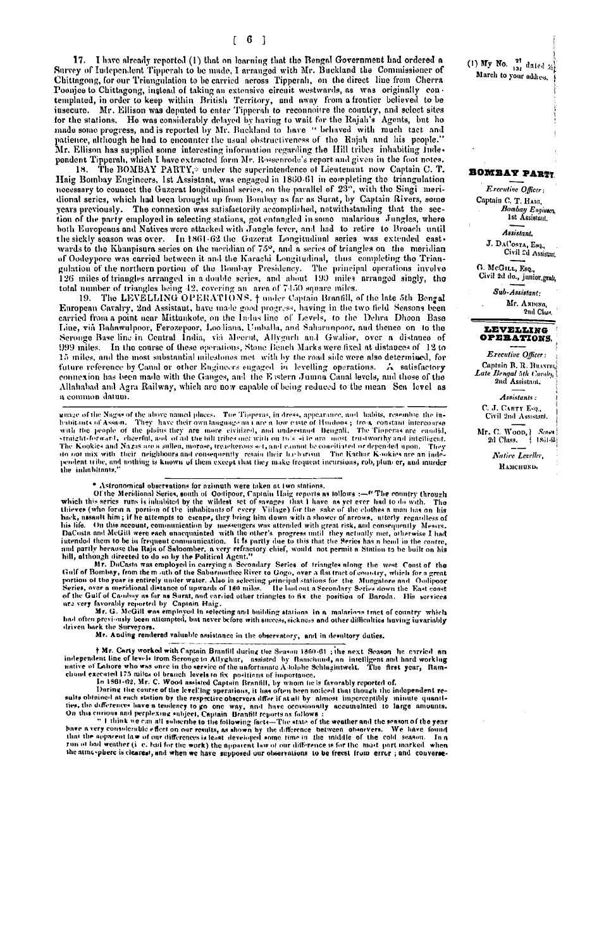17. I have already reported (1) that on learning that the Bengal Government had ordered a Survey of Independent Tipperah to be made, I arranged with Mr. Buckland the Commissioner of Chittagong, for our Triungulation to be carried across Tipperah, on the direct line from Cherra Poonjee to Chittagong, instead of taking an extensive circuit westwards, as was originally contemplated, in order to keep within British Territory, and away from a frontier believed to be templated, in order to keep within insecure. Mr. Ellison was deputed to enter Tipperah to reconnoitre the country, and select sites for the stations. He was considerably delayed by having to wait for the Rajah's Agents, but he made some progress, and is reported by Mr. Buckland to have " behaved with much tact and patience, although he had to encounter the usual obstructiveness of the Rajah and his people."<br>Mr. Ellison has supplied some interesting information regarding the Hill tribes inhabiting Independent Tipperali, which I have extracted form Mr. Rossenrode's report and given in the foot notes.<br>18. The BOMBAY PARTY,\* under the superintendence of Lieutenant now Captain C. T.

Haig Bombay Engineers, 1st Assistant, was engaged in 1860-61 in completing the triangulation necessary to connect the Guzerat longitudinal series, on the parallel of 23°, with the Singi meridional series, which had been brought up from Bombay as far as Surat, by Captain Rivers, some years previously. The connexion was satisfactorily accomplished, notwithstanding that the section of the party employed in selecting stations, got entangled in some mularious Jungles, where both Europeaus and Natives were attacked with Jungle fever, and had to retire to Broach until the sickly season was over. In 1861-62 the Guzerat Longitudinal series was extended eastwards to the Khanpisura series on the meridian of 75°, and a series of triangles on the meridian of Oodeypore was carried between it and the Karachi Longitudinal, thus completing the Triangulation of the northern portion of the Bombay Presidency. The principal operations involve 126 miles of triangles arranged in a double series, and about 199 miles arranged singly, the total number of triangles being 42, covering an area of 7450 square miles.

19. The LEVELLING OPERATIONS. I may cross spint Brantill, of the late 5th Bengal European Cavalry, 2nd Assistant, have made good progress, having in the two field Seasons been carried from a point near Mittunkote, on the I Line, via Bahawulpoor, Ferozepoor, Loodiana, Umballa, and Saharunpoor, and thence on to the Seronge Base line in Central India, via Meerut, Allygurh and Gwalior, over a distance of 999 miles. In the course of these operations, Stone Bench Marks were fixed at distances of 12 to 15 miles, and the most substantial milestones met with by the read side were also determined, for future reference by Canal or other Engineers engaged in levelling operations. A satisfactory connexion has been made with the Ganges, and the Eastern Jumna Canal levels, and those of the Allahabad and Agra Railway, which are now capable of being reduced to the mean Sea level as a common datum.

marge of the Nagas of the above named places. The Tipperas, in dress, appearance, and habits, resemble the in-<br>habitants of Assam. They have their own language an t are a low caste of Hudoos; from constant intercourse<br>with do not mix with their neighbours and consequently retain their basbarism. The Kachar K-ockies are an inde-<br>pendent tribe, and nothing is known of them except that they make frequent incursions, rob, plum er, and murder the infinituate.

• Astronomical observations for azimuth were taken at two stations.<br>
Of the Meridional Seriot, south of Ootipoor, Captain Haig reports as tollows :—<sup>or</sup> The country through<br>
which this series runs is initualited by the wi

hill, although directed to do so by the Political Agent."<br>
Mr. DuCasta was employed in carrying a Secondary Series of triangles along the west Const of the<br>
Half of Bombay, from the m -uth of the Saburauthee River to Gogo,

had often previously been attempted, but never before with success, sickness and other difficulties having invariably<br>driven back the Surveyors.<br>Mr. Anding rendered valuable assistance in the observatory, and in desultory

† Mr. Carty worked with Captain Branfill during the Season 1860-61 ; the next Season he carried an

**HMr. Carty worked with Captain Branfill during the Season 1860-61**; the next Season he erriced and<br>independent line of levels Irom Seronge to Allyghur, a assisted by Runchiund, an intelligent and hard working<br>clumd execu the atmosphere is clearest, and when we have supposed our observations to be freest from error; and converse(1) My No.  $\frac{2!}{102}$  dated  $\frac{1}{202}$ March to your address,

### **BOMBAY PARTY**

Executive Officer: Captain C. T. HAIG, Bombay Engineer

**Assistant** J. DACOSTA, Esq.,<br>Civil 2d Assistant

G. McGILL, Esq., Civil 2d do., junior grad,

> Sub-Assistant: Мг. Анриха, 2nd Chief



Executive Officer: Captain B. R. Bussen Late Bengal 5th Cavalry, 2nd Assistant.

Assistants: C. J. CARTY Esq., Civil 2nd Assistant.

Mr. C. Woop,  $|$  Scam 2d Class.  $|$  1861-8. Native Leveller, **ВАМСНИКО.**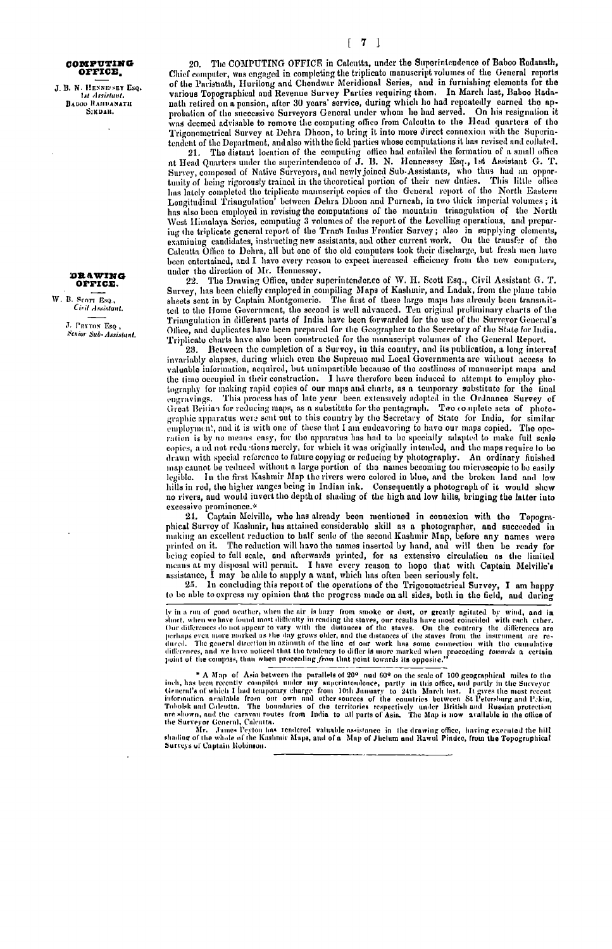#### COMPUTING **OFFICE**

J. B. N. HENNESEY ESO. 1st Assistant.<br>
BABOO RAHDANATH<br>
SIKDAR.

### DRAWING OFFICE.

W. B. SCOTT EsQ. Civil Assistant.

> J. PEYTON ESO. Senior Sub-Assistant.

20. The COMPUTING OFFICE in Calcutta, under the Superintendence of Baboo Radanath, Chief computer, was engaged in completing the triplicato manuscript volumes of the General reports of the Parisnath, Hurilong and Chendwar Meridional Series, and in furnishing elements for the various Topographical and Revenue Survey Parties requiring them. In March last, Baboo Radnnath retired on a ponsion, after 30 years' service, during which ho had repeatedly earned the approbation of the successive Surveyors General under whom he had served. On his resignation it was deemed advisable to remove the computing office from Calcutta to the Head quarters of the Trigonometrical Survey at Dehra Dhoon, to bring it into more direct connexion with the Superintendent of the Department, and also with the field parties whose computations it has revised and collated.

21. The distant location of the computing office had entailed the formation of a small office<br>at Head Quarters under the superintendence of J. B. N. Hennessey Esq., 1st Assistant G. T. Survey, composed of Native Surveyors, and newly joined Sub-Assistants, who thus had an opportunity of being rigorously trained in the theoretical portion of their new duties. This little office lins lately completed the triplicate manuscript copies of the General report of the North Eastern Longitudinal Triangulation' between Dehra Dhoon and Purneah, in two thick imperial volumes; it has also been employed in revising the computations of the mountain triangulation of the North West Himalaya Series, computing 3 volumes of the report of the Levelling operations, and preparing the triplicate general report of the Trans Indus Frontier Survey; also in supplying clements,<br>examining candidates, instructing new assistants, and other current work. On the transfer of the Calcutta Office to Dehra, all but one of the old computers took their discharge, but fresh men have been entertained, and I have every reason to expect increased efficiency from the new computers, under the direction of Mr. Hennessey.

The Drawing Office, under superintendence of W. H. Scott Esq., Civil Assistant G. T. 22. Survey, has been chiefly employed in compiling Maps of Kashmir, and Laduk, from the plane table sheets sent in by Captain Montgomeric. The first of these large maps has already been transmitted to the Home Government, the second is well advanced. Ten original preliminary charts of the Triangulation in different parts of India have been forwarded for the use of the Surveyor General's Office, and duplicates have been prepared for the Geographer to the Secretary of the State for India. Triplicate charts have also been constructed for the manuscript volumes of the General Report.

23. Between the completion of a Survey, in this country, and its publication, a long interval<br>invariably elapses, during which even the Supreme and Local Governments are without access to valuable information, acquired, but unimpartible because of the costliness of manuscript maps and the time occupied in their construction. I have therefore been induced to attempt to employ photography for making rapid copies of our maps and charts, as a temporary substitute for the linal engravings. This process has of late year been extensively adopted in the Ordnance Survey of Great Britian for reducing maps, as a substitute for the pentagraph. Two complete sets of photographic apparatus were sent out to this country by the Secretary of State for India, for similar employment, and it is with one of these that I am endeavoring to have our maps copied. The opeexplorates and the means easy, for the apparatus has had to be specially adapted to make full scale<br>copies, a ad not reductions merely, for which it was originally intended, and the maps require to be drawn with special reference to future copying or reducing by photography. An ordinary finished map cannot be reduced without a large portion of the names becoming too microscopic to be easily legible. In the first Kashmir Map the rivers were colored in blue, and the broken land and low<br>hills in red, the higher ranges being in Indian ink. Consequently a photograph of it would show<br>no rivers, and would invert the excessive prominence.\*

24. Captain Melville, who has already been mentioned in connexion with the Topographical Survey of Kashmir, has attained considerable skill as a photographer, and succeeded in making an excellent reduction to half scale of the second Kashmir Map, before any names were printed on it. The reduction will have the names inserted by hand, and will then be ready for being copied to full scale, and afterwards printed, for as extensive circulation as the limited being contact the disposal will permit. I have every reason to hope that with Captain Melville's assistance, I may be able to supply a want, which has often been seriously felt.

25. In concluding this report of the operations of the Trigonometrical Survey, I am happy to be able to express my opinion that the progress made on all sides, both in the field, and during

Iv in a run of good weather, when the air is hazy from smoke or dust, or greatly agitated by wind, and in<br>short, when we have found most difficulty in reading the staves, our results have most coincided with each other.<br>Ou

\* A Map of Asia between the purallels of 20<sup>o</sup> and 60<sup>o</sup> on the scale of 100 geographical miles to the inch, has teen recently compiled under my superintendence, partly in this office, and partly in the Surveyor General's

Surveys of Captain Robinson.